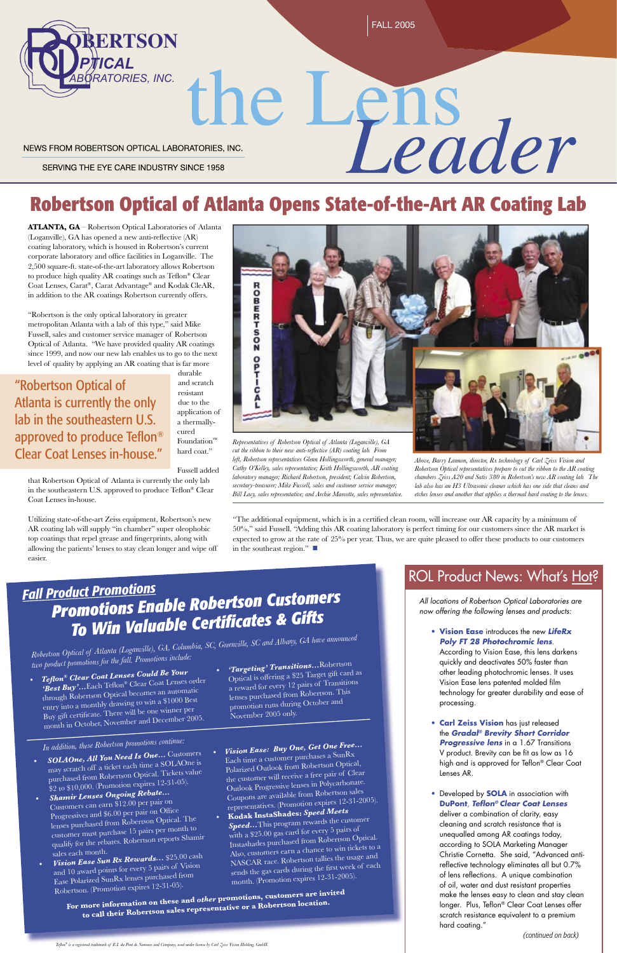the Lens NEWS FROM ROBERTSON OPTICAL LABORATORIES, INC.

SERVING THE EYE CARE INDUSTRY SINCE 1958

# **Robertson Optical of Atlanta Opens State-of-the-Art AR Coating Lab**

**ATLANTA, GA** – Robertson Optical Laboratories of Atlanta (Loganville), GA has opened a new anti-reflective (AR) coating laboratory, which is housed in Robertson's current corporate laboratory and office facilities in Loganville. The 2,500 square-ft. state-of-the-art laboratory allows Robertson to produce high quality AR coatings such as Teflon® Clear Coat Lenses, Carat®, Carat Advantage® and Kodak CleAR, in addition to the AR coatings Robertson currently offers.

"Robertson is the only optical laboratory in greater metropolitan Atlanta with a lab of this type," said Mike Fussell, sales and customer service manager of Robertson Optical of Atlanta. "We have provided quality AR coatings since 1999, and now our new lab enables us to go to the next level of quality by applying an AR coating that is far more

durable and scratch resistant due to the application of a thermallycured Foundation™ hard coat."

> • Developed by **SOLA** in association with **DuPont, Teflon® Clear Coat Lenses**

Fussell added that Robertson Optical of Atlanta is currently the only lab in the southeastern U.S. approved to produce Teflon® Clear Coat Lenses in-house.

Utilizing state-of-the-art Zeiss equipment, Robertson's new AR coating lab will supply "in chamber" super oleophobic top coatings that repel grease and fingerprints, along with allowing the patients' lenses to stay clean longer and wipe off easier.



## *Fall Product Promotions Promotions Enable Robertson Customers*  **To Win Valuable Certificates & Gifts**

All locations of Robertson Optical Laboratories are now offering the following lenses and products:

• **Vision Ease** introduces the new **LifeRx Poly FT 28 Photochromic lens**. According to Vision Ease, this lens darkens quickly and deactivates 50% faster than other leading photochromic lenses. It uses Vision Ease lens patented molded film technology for greater durability and ease of

processing.

• **Carl Zeiss Vision** has just released the **Gradal® Brevity Short Corridor Progressive lens** in a 1.67 Transitions V product. Brevity can be fit as low as 16 high and is approved for Teflon® Clear Coat Lenses AR.

deliver a combination of clarity, easy cleaning and scratch resistance that is unequalled among AR coatings today, according to SOLA Marketing Manager Christie Cornetta. She said, "Advanced antireflective technology eliminates all but 0.7% of lens reflections. A unique combination of oil, water and dust resistant properties make the lenses easy to clean and stay clean longer. Plus, Teflon® Clear Coat Lenses offer scratch resistance equivalent to a premium hard coating."

*(continued on back)*

"Robertson Optical of Atlanta is currently the only lab in the southeastern U.S. approved to produce Teflon® Clear Coat Lenses in-house."

> *Robertson Optical of Atlanta (Loganville), GA, Columbia, SC, Greenville, SC and Albany, GA have announced two product promotions for the fall. Promotions include:*

- *SOLAOne, All You Need Is One…* Customers may scratch off a ticket each time a SOLAOne is purchased from Robertson Optical. Tickets value \$2 to \$10,000. (Promotion expires 12-31-05). *• Shamir Lenses Ongoing Rebate…*
	- Customers can earn \$12.00 per pair on Progressives and \$6.00 per pair on Office lenses purchased from Robertson Optical. The customer must purchase 15 pairs per month to qualify for the rebates. Robertson reports Shamir sales each month.

*• Vision Ease Sun Rx Rewards...* \$25.00 cas<sup>h</sup>

and 10 award points for every 5 pairs of Vision Ease Polarized SunRx lenses purchased from Robertson. (Promotion expires 12-31-05).

entry into a monthly drawing to win a \$1000 Best Buy gift certificate. There will be one winner per month in October, November and December 2005.

- *Tefl on® Clear Coat Lenses Could Be Your*  'Best Buy'...Each Teflon® Clear Coat Lenses order through Robertson Optical becomes an automatic
- *'Targeting' Transitions…*Robertson Optical is offering a \$25 Target gift card as a reward for every 12 pairs of Transitions lenses purchased from Robertson. This

### ROL Product News: What's Hot?

promotion runs during October and November 2005 only.

*In addition, these Robertson promotions continue:*

**For more information on these an<sup>d</sup>***other* **promotions, customers are invited to call their Robertson sales representative or a Robertson location.**

*• Vision Ease: Buy One, Get One Free…* Each time a customer purchases a SunRx Polarized Outlook from Robertson Optical, the customer will receive a free pair of Clear Outlook Progressive lenses in Polycarbonate. Coupons are available from Robertson sales representatives. (Promotion expires 12-31-2005). **• Kodak InstaShades:** *Speed Meets* 

*Speed...*This program rewards the customer with a \$25.00 gas card for every 5 pairs of Instashades purchased from Robertson Optical. Also, customers earn a chance to win tickets to a NASCAR race. Robertson tallies the usage an<sup>d</sup> sends the gas cards during the first week of each month. (Promotion expires 12-31-2005).

*Representatives of Robertson Optical of Atlanta (Loganville), GA cut the ribbon to their new anti-reflective (AR) coating lab. From left, Robertson representatives Glenn Hollingsworth, general manager; Cathy O'Kelley, sales representative; Keith Hollingsworth, AR coating laboratory manager; Richard Robertson, president; Calvin Robertson, secretary-treasurer; Mike Fussell, sales and customer service manager; Bill Lacy, sales representative; and Archie Marcotte, sales representative.*

*Above, Barry Lannon, director, Rx technology of Carl Zeiss Vision and Robertson Optical representatives prepare to cut the ribbon to the AR coating chambers Zeiss A20 and Satis 380 in Robertson's new AR coating lab. The lab also has an H3 Ultrasonic cleaner which has one side that cleans and etches lenses and another that applies a thermal hard coating to the lenses.*

"The additional equipment, which is in a certified clean room, will increase our AR capacity by a minimum of 50%," said Fussell. "Adding this AR coating laboratory is perfect timing for our customers since the AR market is expected to grow at the rate of 25% per year. Thus, we are quite pleased to offer these products to our customers in the southeast region."  $\blacksquare$ 

*Tefl on® is a registered trademark of E.I. du Pont de Nemours and Company, used under license by Carl Zeiss Vision Holding, GmbH.*